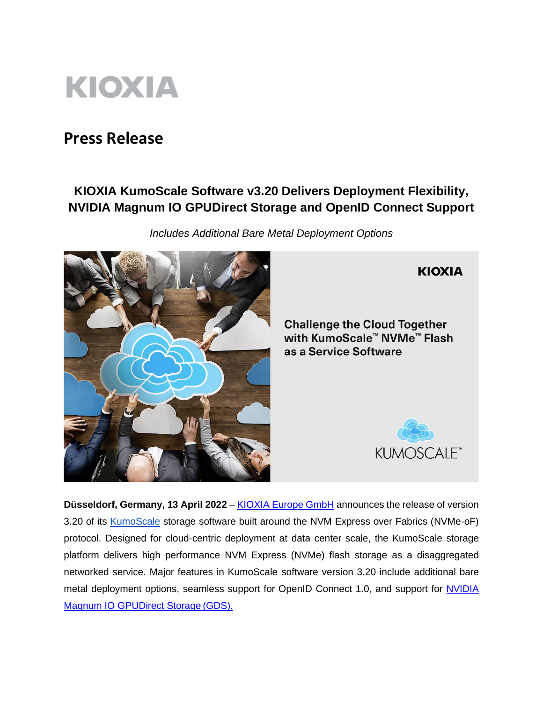

# **Press Release**

# **KIOXIA KumoScale Software v3.20 Delivers Deployment Flexibility, NVIDIA Magnum IO GPUDirect Storage and OpenID Connect Support**

*Includes Additional Bare Metal Deployment Options*



# **KIOXIA**

**Challenge the Cloud Together** with KumoScale™ NVMe™ Flash as a Service Software



**Düsseldorf, Germany, 13 April 2022** – [KIOXIA Europe GmbH](https://www.kioxia.com/en-emea/top.html) announces the release of version 3.20 of its **KumoScale** storage software built around the NVM Express over Fabrics (NVMe-oF) protocol. Designed for cloud-centric deployment at data center scale, the KumoScale storage platform delivers high performance NVM Express (NVMe) flash storage as a disaggregated networked service. Major features in KumoScale software version 3.20 include additional bare metal deployment options, seamless support for OpenID Connect 1.0, and support for NVIDIA [Magnum IO GPUDirect Storage](https://developer.nvidia.com/gpudirect-storage) (GDS).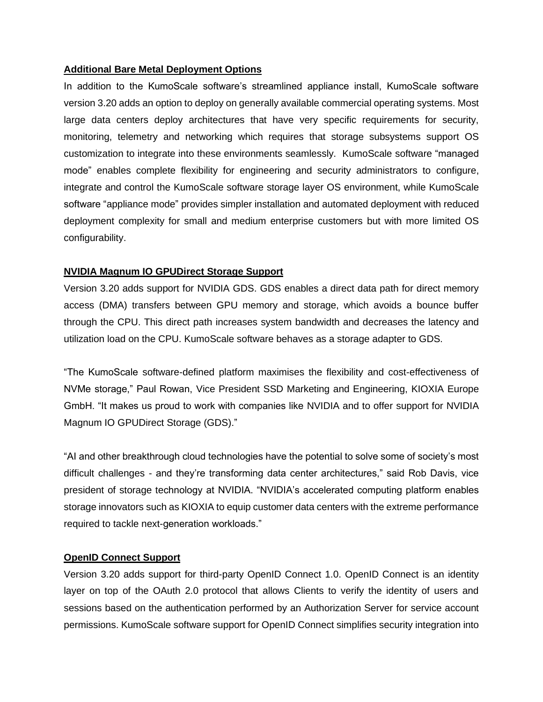# **Additional Bare Metal Deployment Options**

In addition to the KumoScale software's streamlined appliance install, KumoScale software version 3.20 adds an option to deploy on generally available commercial operating systems. Most large data centers deploy architectures that have very specific requirements for security, monitoring, telemetry and networking which requires that storage subsystems support OS customization to integrate into these environments seamlessly. KumoScale software "managed mode" enables complete flexibility for engineering and security administrators to configure, integrate and control the KumoScale software storage layer OS environment, while KumoScale software "appliance mode" provides simpler installation and automated deployment with reduced deployment complexity for small and medium enterprise customers but with more limited OS configurability.

# **NVIDIA Magnum IO GPUDirect Storage Support**

Version 3.20 adds support for NVIDIA GDS. GDS enables a direct data path for direct memory access (DMA) transfers between GPU memory and storage, which avoids a bounce buffer through the CPU. This direct path increases system bandwidth and decreases the latency and utilization load on the CPU. KumoScale software behaves as a storage adapter to GDS.

"The KumoScale software-defined platform maximises the flexibility and cost-effectiveness of NVMe storage," Paul Rowan, Vice President SSD Marketing and Engineering, KIOXIA Europe GmbH. "It makes us proud to work with companies like NVIDIA and to offer support for NVIDIA Magnum IO GPUDirect Storage (GDS)."

"AI and other breakthrough cloud technologies have the potential to solve some of society's most difficult challenges - and they're transforming data center architectures," said Rob Davis, vice president of storage technology at NVIDIA. "NVIDIA's accelerated computing platform enables storage innovators such as KIOXIA to equip customer data centers with the extreme performance required to tackle next-generation workloads."

## **OpenID Connect Support**

Version 3.20 adds support for third-party OpenID Connect 1.0. OpenID Connect is an identity layer on top of the OAuth 2.0 protocol that allows Clients to verify the identity of users and sessions based on the authentication performed by an Authorization Server for service account permissions. KumoScale software support for OpenID Connect simplifies security integration into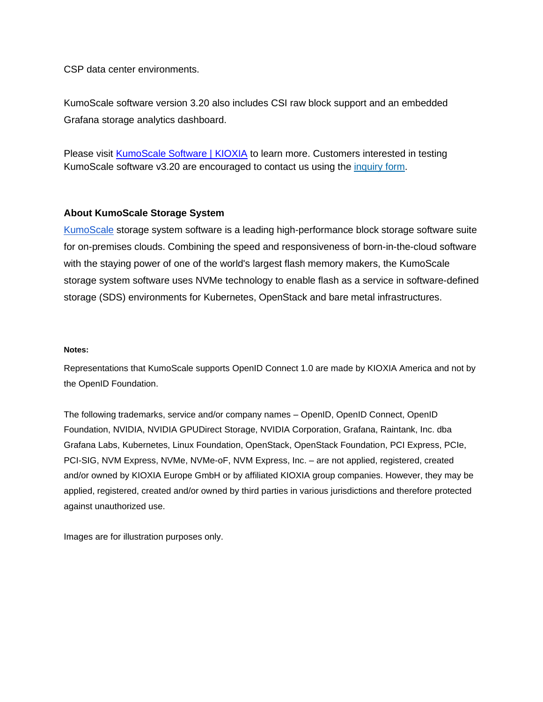CSP data center environments.

KumoScale software version 3.20 also includes CSI raw block support and an embedded Grafana storage analytics dashboard.

Please visit [KumoScale Software | KIOXIA](https://business.kioxia.com/en-emea/ssd/kumoscale-software.html) to learn more. Customers interested in testing KumoScale software v3.20 are encouraged to contact us using the [inquiry](https://www.kioxia.com/en-emea/contact/agree.html) form.

# **About KumoScale Storage System**

[KumoScale](https://kumoscale.kioxia.com/en/) storage system software is a leading high-performance block storage software suite for on-premises clouds. Combining the speed and responsiveness of born-in-the-cloud software with the staying power of one of the world's largest flash memory makers, the KumoScale storage system software uses NVMe technology to enable flash as a service in software-defined storage (SDS) environments for Kubernetes, OpenStack and bare metal infrastructures.

### **Notes:**

Representations that KumoScale supports OpenID Connect 1.0 are made by KIOXIA America and not by the OpenID Foundation.

The following trademarks, service and/or company names – OpenID, OpenID Connect, OpenID Foundation, NVIDIA, NVIDIA GPUDirect Storage, NVIDIA Corporation, Grafana, Raintank, Inc. dba Grafana Labs, Kubernetes, Linux Foundation, OpenStack, OpenStack Foundation, PCI Express, PCIe, PCI-SIG, NVM Express, NVMe, NVMe-oF, NVM Express, Inc. – are not applied, registered, created and/or owned by KIOXIA Europe GmbH or by affiliated KIOXIA group companies. However, they may be applied, registered, created and/or owned by third parties in various jurisdictions and therefore protected against unauthorized use.

Images are for illustration purposes only.